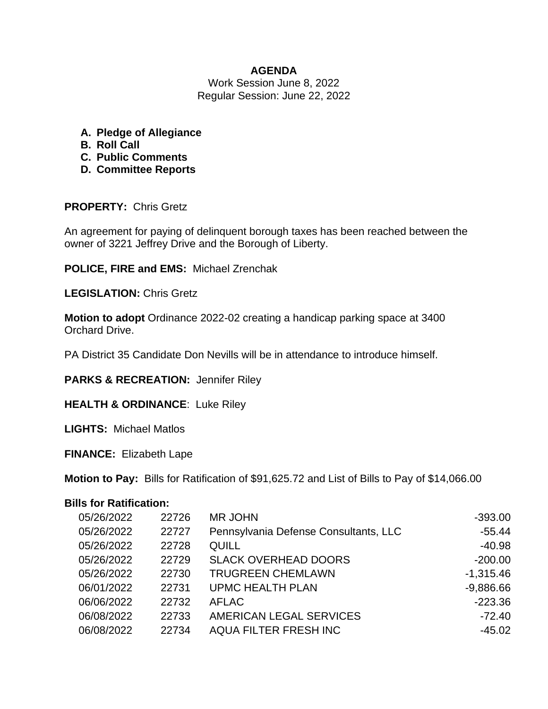# **AGENDA**

Work Session June 8, 2022 Regular Session: June 22, 2022

- **A. Pledge of Allegiance**
- **B. Roll Call**
- **C. Public Comments**
- **D. Committee Reports**

# **PROPERTY:** Chris Gretz

An agreement for paying of delinquent borough taxes has been reached between the owner of 3221 Jeffrey Drive and the Borough of Liberty.

**POLICE, FIRE and EMS:** Michael Zrenchak

**LEGISLATION:** Chris Gretz

**Motion to adopt** Ordinance 2022-02 creating a handicap parking space at 3400 Orchard Drive.

PA District 35 Candidate Don Nevills will be in attendance to introduce himself.

**PARKS & RECREATION:** Jennifer Riley

**HEALTH & ORDINANCE**: Luke Riley

**LIGHTS:** Michael Matlos

**FINANCE:** Elizabeth Lape

**Motion to Pay:** Bills for Ratification of \$91,625.72 and List of Bills to Pay of \$14,066.00

# **Bills for Ratification:**

| 05/26/2022 | 22726 | <b>MR JOHN</b>                        | $-393.00$   |
|------------|-------|---------------------------------------|-------------|
| 05/26/2022 | 22727 | Pennsylvania Defense Consultants, LLC | $-55.44$    |
| 05/26/2022 | 22728 | <b>QUILL</b>                          | $-40.98$    |
| 05/26/2022 | 22729 | <b>SLACK OVERHEAD DOORS</b>           | $-200.00$   |
| 05/26/2022 | 22730 | <b>TRUGREEN CHEMLAWN</b>              | $-1,315.46$ |
| 06/01/2022 | 22731 | <b>UPMC HEALTH PLAN</b>               | $-9,886.66$ |
| 06/06/2022 | 22732 | <b>AFLAC</b>                          | $-223.36$   |
| 06/08/2022 | 22733 | AMERICAN LEGAL SERVICES               | $-72.40$    |
| 06/08/2022 | 22734 | <b>AQUA FILTER FRESH INC</b>          | $-45.02$    |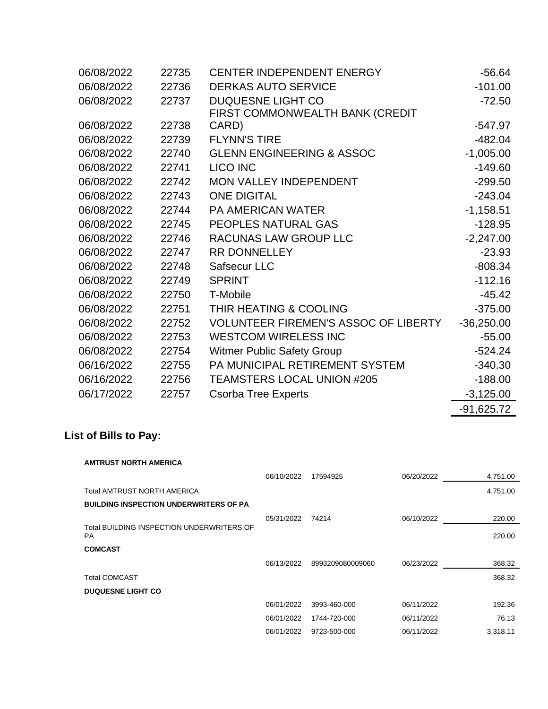| 06/08/2022 | 22735 | <b>CENTER INDEPENDENT ENERGY</b>            | $-56.64$     |
|------------|-------|---------------------------------------------|--------------|
| 06/08/2022 | 22736 | <b>DERKAS AUTO SERVICE</b>                  | $-101.00$    |
| 06/08/2022 | 22737 | DUQUESNE LIGHT CO                           | $-72.50$     |
|            |       | FIRST COMMONWEALTH BANK (CREDIT             |              |
| 06/08/2022 | 22738 | CARD)                                       | $-547.97$    |
| 06/08/2022 | 22739 | <b>FLYNN'S TIRE</b>                         | $-482.04$    |
| 06/08/2022 | 22740 | <b>GLENN ENGINEERING &amp; ASSOC</b>        | $-1,005.00$  |
| 06/08/2022 | 22741 | <b>LICO INC</b>                             | $-149.60$    |
| 06/08/2022 | 22742 | <b>MON VALLEY INDEPENDENT</b>               | $-299.50$    |
| 06/08/2022 | 22743 | <b>ONE DIGITAL</b>                          | $-243.04$    |
| 06/08/2022 | 22744 | <b>PA AMERICAN WATER</b>                    | $-1,158.51$  |
| 06/08/2022 | 22745 | <b>PEOPLES NATURAL GAS</b>                  | $-128.95$    |
| 06/08/2022 | 22746 | RACUNAS LAW GROUP LLC                       | $-2,247.00$  |
| 06/08/2022 | 22747 | <b>RR DONNELLEY</b>                         | $-23.93$     |
| 06/08/2022 | 22748 | Safsecur LLC                                | $-808.34$    |
| 06/08/2022 | 22749 | <b>SPRINT</b>                               | $-112.16$    |
| 06/08/2022 | 22750 | T-Mobile                                    | $-45.42$     |
| 06/08/2022 | 22751 | THIR HEATING & COOLING                      | $-375.00$    |
| 06/08/2022 | 22752 | <b>VOLUNTEER FIREMEN'S ASSOC OF LIBERTY</b> | $-36,250.00$ |
| 06/08/2022 | 22753 | <b>WESTCOM WIRELESS INC</b>                 | $-55.00$     |
| 06/08/2022 | 22754 | <b>Witmer Public Safety Group</b>           | $-524.24$    |
| 06/16/2022 | 22755 | PA MUNICIPAL RETIREMENT SYSTEM              | $-340.30$    |
| 06/16/2022 | 22756 | <b>TEAMSTERS LOCAL UNION #205</b>           | $-188.00$    |
| 06/17/2022 | 22757 | <b>Csorba Tree Experts</b>                  | $-3,125.00$  |
|            |       |                                             | $-91,625.72$ |

# **List of Bills to Pay:**

#### **AMTRUST NORTH AMERICA**

|                                                        | 06/10/2022 | 17594925         | 06/20/2022 | 4,751.00 |
|--------------------------------------------------------|------------|------------------|------------|----------|
| Total AMTRUST NORTH AMERICA                            |            |                  |            | 4,751.00 |
| <b>BUILDING INSPECTION UNDERWRITERS OF PA</b>          |            |                  |            |          |
|                                                        | 05/31/2022 | 74214            | 06/10/2022 | 220.00   |
| Total BUILDING INSPECTION UNDERWRITERS OF<br><b>PA</b> |            |                  |            | 220.00   |
| <b>COMCAST</b>                                         |            |                  |            |          |
|                                                        | 06/13/2022 | 8993209080009060 | 06/23/2022 | 368.32   |
| <b>Total COMCAST</b>                                   |            |                  |            | 368.32   |
| <b>DUQUESNE LIGHT CO</b>                               |            |                  |            |          |
|                                                        | 06/01/2022 | 3993-460-000     | 06/11/2022 | 192.36   |
|                                                        | 06/01/2022 | 1744-720-000     | 06/11/2022 | 76.13    |
|                                                        | 06/01/2022 | 9723-500-000     | 06/11/2022 | 3,318.11 |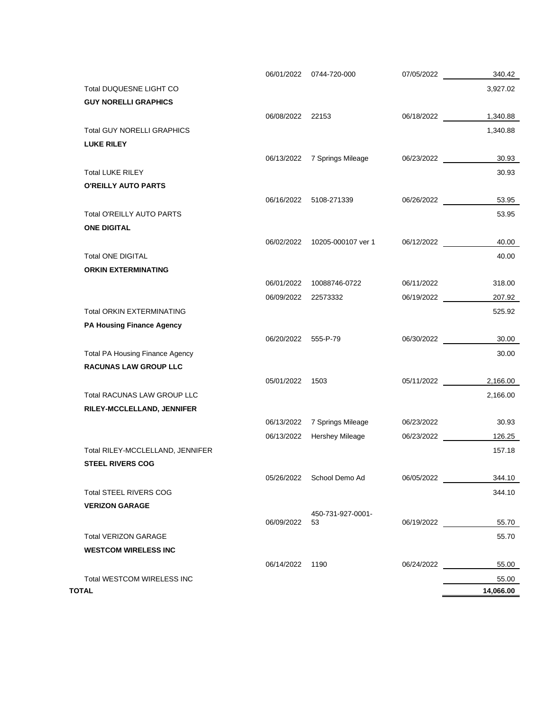|                                        |                     | 06/01/2022 0744-720-000       | 07/05/2022          | 340.42    |
|----------------------------------------|---------------------|-------------------------------|---------------------|-----------|
| Total DUQUESNE LIGHT CO                |                     |                               |                     | 3,927.02  |
| <b>GUY NORELLI GRAPHICS</b>            |                     |                               |                     |           |
|                                        | 06/08/2022 22153    |                               | 06/18/2022          | 1,340.88  |
| <b>Total GUY NORELLI GRAPHICS</b>      |                     |                               |                     | 1,340.88  |
| <b>LUKE RILEY</b>                      |                     |                               |                     |           |
|                                        | 06/13/2022          | 7 Springs Mileage             | 06/23/2022          | 30.93     |
| <b>Total LUKE RILEY</b>                |                     |                               |                     | 30.93     |
| O'REILLY AUTO PARTS                    |                     |                               |                     |           |
|                                        |                     | 06/16/2022 5108-271339        | 06/26/2022          | 53.95     |
| Total O'REILLY AUTO PARTS              |                     |                               |                     | 53.95     |
| <b>ONE DIGITAL</b>                     |                     |                               |                     |           |
|                                        |                     | 06/02/2022 10205-000107 ver 1 | 06/12/2022          | 40.00     |
| <b>Total ONE DIGITAL</b>               |                     |                               |                     | 40.00     |
| <b>ORKIN EXTERMINATING</b>             |                     |                               |                     |           |
|                                        |                     | 06/01/2022 10088746-0722      | 06/11/2022          | 318.00    |
|                                        | 06/09/2022 22573332 |                               | 06/19/2022          | 207.92    |
| <b>Total ORKIN EXTERMINATING</b>       |                     |                               |                     | 525.92    |
| <b>PA Housing Finance Agency</b>       |                     |                               |                     |           |
|                                        | 06/20/2022 555-P-79 |                               | 06/30/2022          | 30.00     |
| <b>Total PA Housing Finance Agency</b> |                     |                               |                     | 30.00     |
| <b>RACUNAS LAW GROUP LLC</b>           |                     |                               |                     |           |
|                                        | 05/01/2022 1503     |                               | 05/11/2022 2,166.00 |           |
| Total RACUNAS LAW GROUP LLC            |                     |                               |                     | 2,166.00  |
| RILEY-MCCLELLAND, JENNIFER             |                     |                               |                     |           |
|                                        | 06/13/2022          | 7 Springs Mileage             | 06/23/2022          | 30.93     |
|                                        |                     | 06/13/2022 Hershey Mileage    | 06/23/2022          | 126.25    |
| Total RILEY-MCCLELLAND, JENNIFER       |                     |                               |                     | 157.18    |
| <b>STEEL RIVERS COG</b>                |                     |                               |                     |           |
|                                        |                     | 05/26/2022 School Demo Ad     | 06/05/2022          | 344.10    |
| <b>Total STEEL RIVERS COG</b>          |                     |                               |                     | 344.10    |
| <b>VERIZON GARAGE</b>                  |                     |                               |                     |           |
|                                        | 06/09/2022 53       | 450-731-927-0001-             | 06/19/2022          | 55.70     |
| <b>Total VERIZON GARAGE</b>            |                     |                               |                     | 55.70     |
| <b>WESTCOM WIRELESS INC</b>            |                     |                               |                     |           |
|                                        | 06/14/2022 1190     |                               | 06/24/2022          | 55.00     |
| Total WESTCOM WIRELESS INC             |                     |                               |                     | 55.00     |
| TOTAL                                  |                     |                               |                     | 14,066.00 |
|                                        |                     |                               |                     |           |